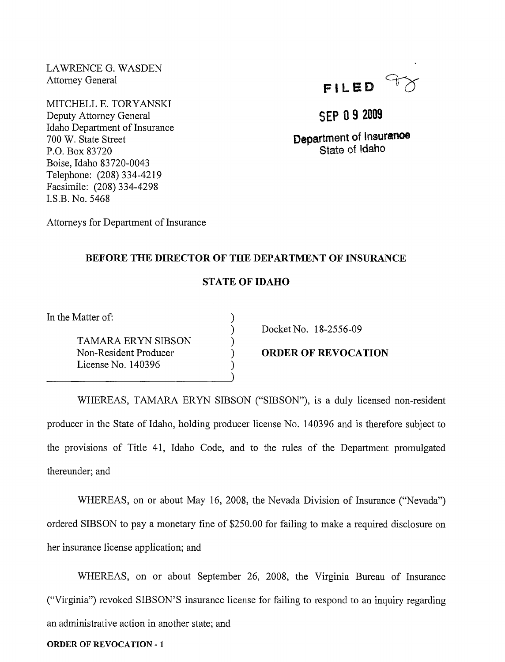LAWRENCE G. WASDEN Attorney General

MITCHELL E. TORYANSKI Deputy Attorney General Idaho Department of Insurance 700 W. State Street P.O. Box 83720 Boise, Idaho 83720-0043 Telephone: (208) 334-4219 Facsimile: (208) 334-4298 LS.B. No. 5468



# **SEP 09 2009**

**Department of Insuranoe State of Idaho** 

Attorneys for Department of Insurance

## **BEFORE THE DIRECTOR OF THE DEPARTMENT OF INSURANCE**

## **STATE OF IDAHO**

) ) ) ) )

In the Matter of:

TAMARA ERYN SIBSON Non-Resident Producer License No. 140396

---------------------------)

Docket No. 18-2556-09

**ORDER OF REVOCATION** 

WHEREAS, TAMARA ERYN SIBSON ("SIBSON"), is a duly licensed non-resident producer in the State of Idaho, holding producer license No. 140396 and is therefore subject to the provisions of Title 41, Idaho Code, and to the rules of the Department promulgated thereunder; and

WHEREAS, on or about May 16, 2008, the Nevada Division of Insurance ("Nevada") ordered SIBSON to pay a monetary fine of \$250.00 for failing to make a required disclosure on her insurance license application; and

WHEREAS, on or about September 26, 2008, the Virginia Bureau of Insurance ("Virginia") revoked SIBSON'S insurance license for failing to respond to an inquiry regarding an administrative action in another state; and

#### **ORDER OF REVOCATION** - 1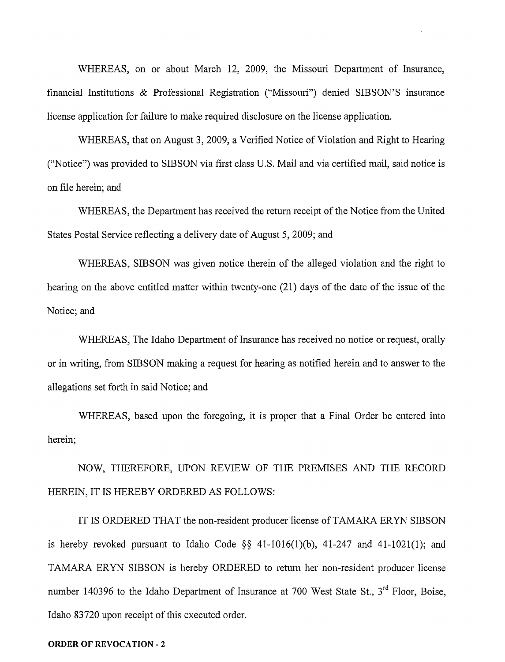WHEREAS, on or about March 12, 2009, the Missouri Department of Insurance, financial Institutions & Professional Registration ("Missouri") denied SIBSON'S msurance license application for failure to make required disclosure on the license application.

WHEREAS, that on August 3, 2009, a Verified Notice of Violation and Right to Hearing ("Notice") was provided to SIBSON via first class U.S. Mail and via certified mail, said notice is on file herein; and

WHEREAS, the Department has received the return receipt of the Notice from the United States Postal Service reflecting a delivery date of August 5, 2009; and

WHEREAS, SIBSON was given notice therein of the alleged violation and the right to hearing on the above entitled matter within twenty-one (21) days of the date of the issue of the Notice; and

WHEREAS, The Idaho Department of Insurance has received no notice or request, orally or in writing, from SIBSON making a request for hearing as notified herein and to answer to the allegations set forth in said Notice; and

WHEREAS, based upon the foregoing, it is proper that a Final Order be entered into herein;

NOW, THEREFORE, UPON REVIEW OF THE PREMISES AND THE RECORD HEREIN, IT IS HEREBY ORDERED AS FOLLOWS:

IT IS ORDERED THAT the non-resident producer license of TAMARA ERYN SIBSON is hereby revoked pursuant to Idaho Code  $\S$ § 41-1016(1)(b), 41-247 and 41-1021(1); and TAMARA ERYN SIBSON is hereby ORDERED to return her non-resident producer license number 140396 to the Idaho Department of Insurance at 700 West State St.,  $3<sup>rd</sup>$  Floor, Boise, Idaho 83720 upon receipt of this executed order.

#### **ORDER OF REVOCATION** - 2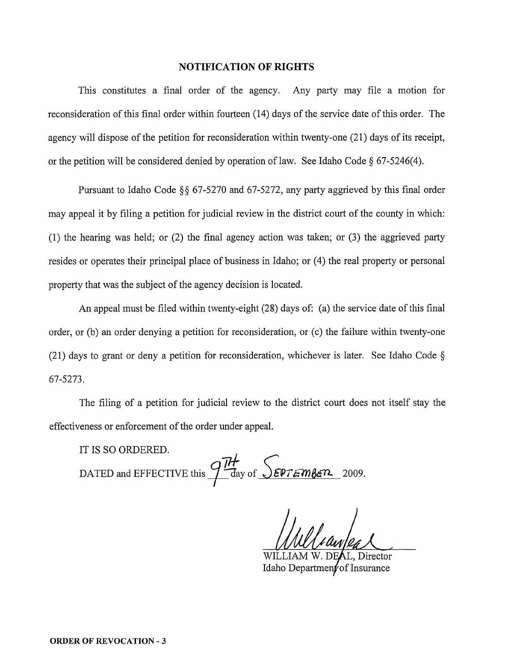### **NOTIFICATION OF RIGHTS**

This constitutes a final order of the agency. Any party may file a motion for reconsideration of this final order within fourteen (14) days of the service date of this order. The agency will dispose of the petition for reconsideration within twenty-one (21) days of its receipt, or the petition will be considered denied by operation of law. See Idaho Code  $\S$  67-5246(4).

Pursuant to Idaho Code §§ 67-5270 and 67-5272, any party aggrieved by this final order may appeal it by filing a petition for judicial review in the district court of the county in which: (1) the hearing was held; or (2) the final agency action was taken; or (3) the aggrieved party resides or operates their principal place of business in Idaho; or (4) the real property or personal property that was the subject of the agency decision is located.

An appeal must be filed within twenty-eight (28) days of: (a) the service date of this final order, or (b) an order denying a petition for reconsideration, or (c) the failure within twenty-one (21) days to grant or deny a petition for reconsideration, whichever is later. See Idaho Code  $\S$ 67-5273.

The filing of a petition for judicial review to the district court does not itself stay the effectiveness or enforcement of the order under appeal.

IT IS SO ORDERED.

DATED and EFFECTIVE this  $\frac{7H}{1}$  *day of SEPTEMBER* 2009.

L, Director Idaho Departmentof Insurance